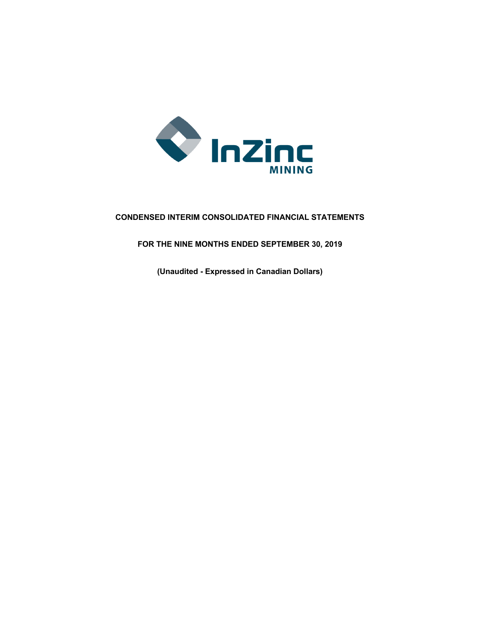

# **CONDENSED INTERIM CONSOLIDATED FINANCIAL STATEMENTS**

**FOR THE NINE MONTHS ENDED SEPTEMBER 30, 2019**

**(Unaudited - Expressed in Canadian Dollars)**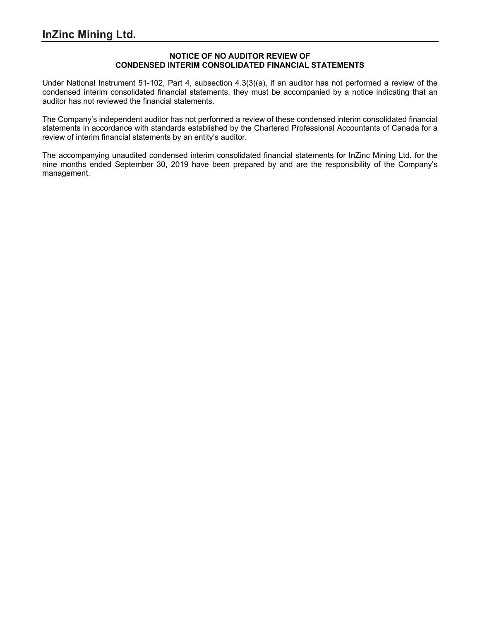# **NOTICE OF NO AUDITOR REVIEW OF CONDENSED INTERIM CONSOLIDATED FINANCIAL STATEMENTS**

Under National Instrument 51-102, Part 4, subsection 4.3(3)(a), if an auditor has not performed a review of the condensed interim consolidated financial statements, they must be accompanied by a notice indicating that an auditor has not reviewed the financial statements.

The Company's independent auditor has not performed a review of these condensed interim consolidated financial statements in accordance with standards established by the Chartered Professional Accountants of Canada for a review of interim financial statements by an entity's auditor.

The accompanying unaudited condensed interim consolidated financial statements for InZinc Mining Ltd. for the nine months ended September 30, 2019 have been prepared by and are the responsibility of the Company's management.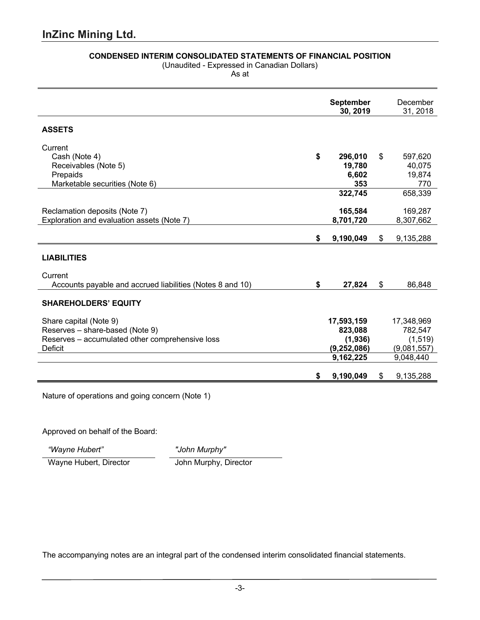# **CONDENSED INTERIM CONSOLIDATED STATEMENTS OF FINANCIAL POSITION**

(Unaudited - Expressed in Canadian Dollars) As at

**September 30, 2019** December 31, 2018 **ASSETS Current** Cash (Note 4) **\$ 296,010** \$ 597,620 Receivables (Note 5) **19,780** 40,075 Prepaids **6,602** 19,874 Marketable securities (Note 6) **353** 770 **322,745** 658,339 Reclamation deposits (Note 7) **165,584** 169,287<br>Exploration and evaluation assets (Note 7) **169,287 165,584 169,287 8,701,720 169,307,662** Exploration and evaluation assets (Note 7) **\$ 9,190,049** \$ 9,135,288 **LIABILITIES Current** Accounts payable and accrued liabilities (Notes 8 and 10) **\$ 27,824** \$ 86,848 **SHAREHOLDERS' EQUITY** Share capital (Note 9) **17,593,159** 17,348,969 Reserves – share-based (Note 9)<br>Reserves – accumulated other comprehensive loss **823,088** (1,936) (1,519) Reserves – accumulated other comprehensive loss **(1,936)** (1,936) Deficit **(9,252,086)** (9,081,557) **9,162,225** 9,048,440 **\$ 9,190,049** \$ 9,135,288

Nature of operations and going concern (Note 1)

Approved on behalf of the Board:

*"Wayne Hubert" "John Murphy"*

Wayne Hubert, Director **John Murphy, Director**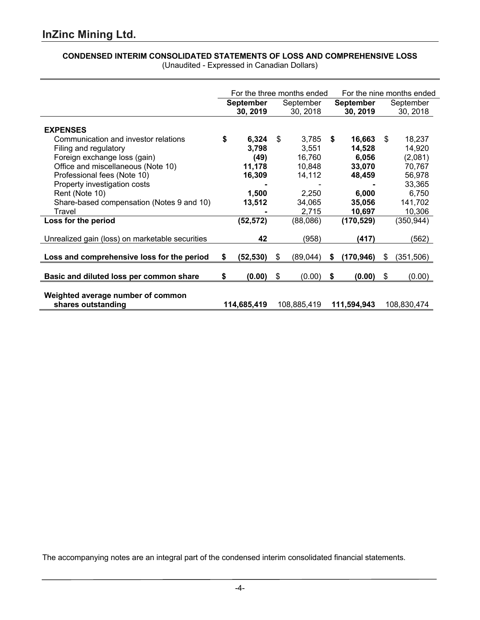# **CONDENSED INTERIM CONSOLIDATED STATEMENTS OF LOSS AND COMPREHENSIVE LOSS**

|                                                         | For the three months ended |                              |    |                       | For the nine months ended |                              |    |                       |
|---------------------------------------------------------|----------------------------|------------------------------|----|-----------------------|---------------------------|------------------------------|----|-----------------------|
|                                                         |                            | <b>September</b><br>30, 2019 |    | September<br>30, 2018 |                           | <b>September</b><br>30, 2019 |    | September<br>30, 2018 |
| <b>EXPENSES</b>                                         |                            |                              |    |                       |                           |                              |    |                       |
| Communication and investor relations                    | \$                         | 6,324                        | \$ | 3,785                 | S                         | 16,663                       | \$ | 18,237                |
| Filing and regulatory                                   |                            | 3,798                        |    | 3,551                 |                           | 14,528                       |    | 14,920                |
| Foreign exchange loss (gain)                            |                            | (49)                         |    | 16,760                |                           | 6,056                        |    | (2,081)               |
| Office and miscellaneous (Note 10)                      |                            | 11,178                       |    | 10,848                |                           | 33,070                       |    | 70,767                |
| Professional fees (Note 10)                             |                            | 16,309                       |    | 14,112                |                           | 48,459                       |    | 56,978                |
| Property investigation costs                            |                            |                              |    |                       |                           |                              |    | 33,365                |
| Rent (Note 10)                                          |                            | 1,500                        |    | 2,250                 |                           | 6,000                        |    | 6,750                 |
| Share-based compensation (Notes 9 and 10)               |                            | 13,512                       |    | 34,065                |                           | 35,056                       |    | 141,702               |
| Travel                                                  |                            |                              |    | 2,715                 |                           | 10,697                       |    | 10,306                |
| Loss for the period                                     |                            | (52, 572)                    |    | (88,086)              |                           | (170, 529)                   |    | (350, 944)            |
|                                                         |                            |                              |    |                       |                           |                              |    |                       |
| Unrealized gain (loss) on marketable securities         |                            | 42                           |    | (958)                 |                           | (417)                        |    | (562)                 |
| Loss and comprehensive loss for the period              | \$                         | (52, 530)                    | \$ | (89,044)              | \$                        | (170, 946)                   | \$ | (351,506)             |
|                                                         |                            |                              |    |                       |                           |                              |    |                       |
| Basic and diluted loss per common share                 | \$                         | (0.00)                       | \$ | (0.00)                | \$                        | (0.00)                       | \$ | (0.00)                |
| Weighted average number of common<br>shares outstanding |                            | 114,685,419                  |    | 108,885,419           |                           | 111,594,943                  |    | 108,830,474           |

(Unaudited - Expressed in Canadian Dollars)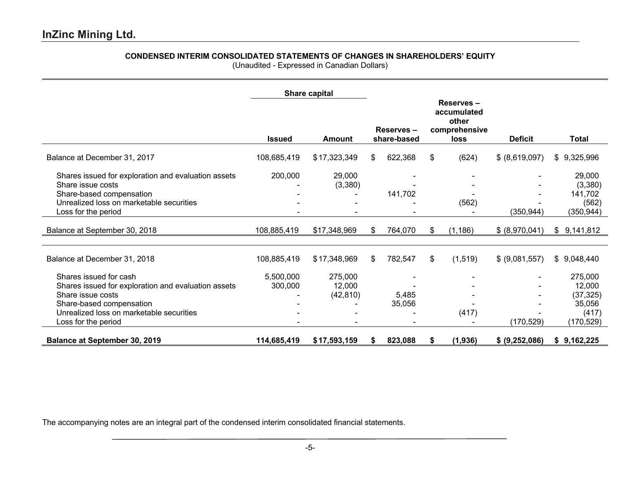# **CONDENSED INTERIM CONSOLIDATED STATEMENTS OF CHANGES IN SHAREHOLDERS' EQUITY**

(Unaudited - Expressed in Canadian Dollars)

|                                                                                                                                                                                                   |                         | Share capital                  |                          |                 |    |          |                |                                                                 |  |  |  |  |  |  |  |  |  |  |  |  |  |  |  |  |  |  |  |  |  |  |  |  |  |  |  |  |  |  |  |  |  |  |  |  |  |  |  |  |  |  |  |  |  |  |  |  |  |  |  |  |  |  |  |  |  |  |  |  |  |  |                                                                   |  |                |       |
|---------------------------------------------------------------------------------------------------------------------------------------------------------------------------------------------------|-------------------------|--------------------------------|--------------------------|-----------------|----|----------|----------------|-----------------------------------------------------------------|--|--|--|--|--|--|--|--|--|--|--|--|--|--|--|--|--|--|--|--|--|--|--|--|--|--|--|--|--|--|--|--|--|--|--|--|--|--|--|--|--|--|--|--|--|--|--|--|--|--|--|--|--|--|--|--|--|--|--|--|--|--|-------------------------------------------------------------------|--|----------------|-------|
|                                                                                                                                                                                                   | <b>Issued</b><br>Amount |                                | Reserves-<br>share-based |                 |    |          |                |                                                                 |  |  |  |  |  |  |  |  |  |  |  |  |  |  |  |  |  |  |  |  |  |  |  |  |  |  |  |  |  |  |  |  |  |  |  |  |  |  |  |  |  |  |  |  |  |  |  |  |  |  |  |  |  |  |  |  |  |  |  |  |  |  | Reserves-<br>accumulated<br>other<br>comprehensive<br><b>loss</b> |  | <b>Deficit</b> | Total |
| Balance at December 31, 2017                                                                                                                                                                      | 108,685,419             | \$17,323,349                   | \$                       | 622,368         | \$ | (624)    | \$ (8,619,097) | \$9,325,996                                                     |  |  |  |  |  |  |  |  |  |  |  |  |  |  |  |  |  |  |  |  |  |  |  |  |  |  |  |  |  |  |  |  |  |  |  |  |  |  |  |  |  |  |  |  |  |  |  |  |  |  |  |  |  |  |  |  |  |  |  |  |  |  |                                                                   |  |                |       |
| Shares issued for exploration and evaluation assets<br>Share issue costs<br>Share-based compensation<br>Unrealized loss on marketable securities<br>Loss for the period                           | 200,000                 | 29,000<br>(3,380)              |                          | 141,702         |    | (562)    | (350, 944)     | 29,000<br>(3,380)<br>141,702<br>(562)<br>(350, 944)             |  |  |  |  |  |  |  |  |  |  |  |  |  |  |  |  |  |  |  |  |  |  |  |  |  |  |  |  |  |  |  |  |  |  |  |  |  |  |  |  |  |  |  |  |  |  |  |  |  |  |  |  |  |  |  |  |  |  |  |  |  |  |                                                                   |  |                |       |
| Balance at September 30, 2018                                                                                                                                                                     | 108,885,419             | \$17,348,969                   | S                        | 764,070         | S. | (1, 186) | \$ (8,970,041) | \$9,141,812                                                     |  |  |  |  |  |  |  |  |  |  |  |  |  |  |  |  |  |  |  |  |  |  |  |  |  |  |  |  |  |  |  |  |  |  |  |  |  |  |  |  |  |  |  |  |  |  |  |  |  |  |  |  |  |  |  |  |  |  |  |  |  |  |                                                                   |  |                |       |
| Balance at December 31, 2018                                                                                                                                                                      | 108,885,419             | \$17,348,969                   | \$                       | 782,547         | \$ | (1, 519) | \$ (9,081,557) | \$9,048,440                                                     |  |  |  |  |  |  |  |  |  |  |  |  |  |  |  |  |  |  |  |  |  |  |  |  |  |  |  |  |  |  |  |  |  |  |  |  |  |  |  |  |  |  |  |  |  |  |  |  |  |  |  |  |  |  |  |  |  |  |  |  |  |  |                                                                   |  |                |       |
| Shares issued for cash<br>Shares issued for exploration and evaluation assets<br>Share issue costs<br>Share-based compensation<br>Unrealized loss on marketable securities<br>Loss for the period | 5,500,000<br>300,000    | 275,000<br>12,000<br>(42, 810) |                          | 5,485<br>35,056 |    | (417)    | (170, 529)     | 275,000<br>12,000<br>(37, 325)<br>35,056<br>(417)<br>(170, 529) |  |  |  |  |  |  |  |  |  |  |  |  |  |  |  |  |  |  |  |  |  |  |  |  |  |  |  |  |  |  |  |  |  |  |  |  |  |  |  |  |  |  |  |  |  |  |  |  |  |  |  |  |  |  |  |  |  |  |  |  |  |  |                                                                   |  |                |       |
| <b>Balance at September 30, 2019</b>                                                                                                                                                              | 114,685,419             | \$17,593,159                   | S                        | 823,088         | S  | (1,936)  | \$ (9,252,086) | \$9,162,225                                                     |  |  |  |  |  |  |  |  |  |  |  |  |  |  |  |  |  |  |  |  |  |  |  |  |  |  |  |  |  |  |  |  |  |  |  |  |  |  |  |  |  |  |  |  |  |  |  |  |  |  |  |  |  |  |  |  |  |  |  |  |  |  |                                                                   |  |                |       |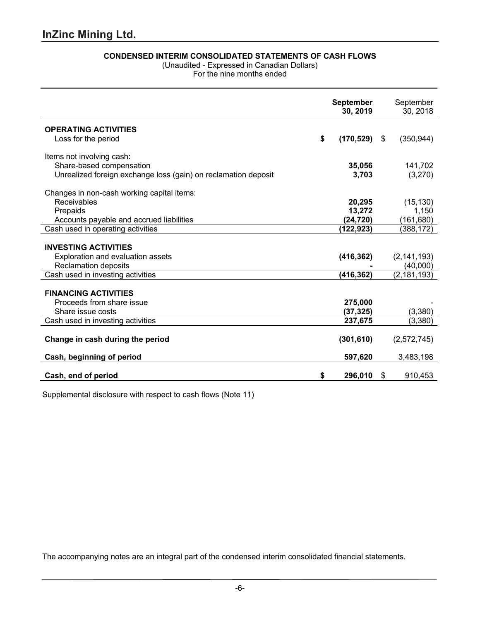l.

# **CONDENSED INTERIM CONSOLIDATED STATEMENTS OF CASH FLOWS**

(Unaudited - Expressed in Canadian Dollars)

For the nine months ended

|                                                                |    | <b>September</b><br>30, 2019 | September<br>30, 2018 |
|----------------------------------------------------------------|----|------------------------------|-----------------------|
| <b>OPERATING ACTIVITIES</b>                                    |    |                              |                       |
| Loss for the period                                            | \$ | $(170, 529)$ \$              | (350, 944)            |
| Items not involving cash:                                      |    |                              |                       |
| Share-based compensation                                       |    | 35,056                       | 141,702               |
| Unrealized foreign exchange loss (gain) on reclamation deposit |    | 3,703                        | (3,270)               |
| Changes in non-cash working capital items:                     |    |                              |                       |
| Receivables                                                    |    | 20,295                       | (15, 130)             |
| Prepaids                                                       |    | 13,272                       | 1,150                 |
| Accounts payable and accrued liabilities                       |    | (24, 720)                    | (161, 680)            |
| Cash used in operating activities                              |    | (122,923)                    | (388, 172)            |
|                                                                |    |                              |                       |
| <b>INVESTING ACTIVITIES</b>                                    |    |                              |                       |
| Exploration and evaluation assets                              |    | (416, 362)                   | (2, 141, 193)         |
| <b>Reclamation deposits</b>                                    |    |                              | (40,000)              |
| Cash used in investing activities                              |    | (416, 362)                   | (2, 181, 193)         |
| <b>FINANCING ACTIVITIES</b>                                    |    |                              |                       |
| Proceeds from share issue                                      |    | 275,000                      |                       |
| Share issue costs                                              |    | (37,325)                     | (3,380)               |
| Cash used in investing activities                              |    | 237,675                      | (3,380)               |
|                                                                |    |                              |                       |
| Change in cash during the period                               |    | (301, 610)                   | (2,572,745)           |
| Cash, beginning of period                                      |    | 597,620                      | 3,483,198             |
| Cash, end of period                                            | S  | 296,010                      | \$<br>910,453         |
|                                                                |    |                              |                       |

Supplemental disclosure with respect to cash flows (Note 11)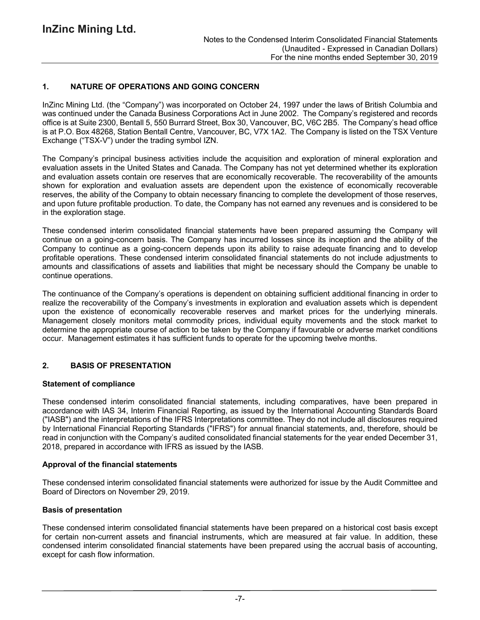# **1. NATURE OF OPERATIONS AND GOING CONCERN**

InZinc Mining Ltd. (the "Company") was incorporated on October 24, 1997 under the laws of British Columbia and was continued under the Canada Business Corporations Act in June 2002. The Company's registered and records office is at Suite 2300, Bentall 5, 550 Burrard Street, Box 30, Vancouver, BC, V6C 2B5. The Company's head office is at P.O. Box 48268, Station Bentall Centre, Vancouver, BC, V7X 1A2. The Company is listed on the TSX Venture Exchange ("TSX-V") under the trading symbol IZN.

The Company's principal business activities include the acquisition and exploration of mineral exploration and evaluation assets in the United States and Canada. The Company has not yet determined whether its exploration and evaluation assets contain ore reserves that are economically recoverable. The recoverability of the amounts shown for exploration and evaluation assets are dependent upon the existence of economically recoverable reserves, the ability of the Company to obtain necessary financing to complete the development of those reserves, and upon future profitable production. To date, the Company has not earned any revenues and is considered to be in the exploration stage.

These condensed interim consolidated financial statements have been prepared assuming the Company will continue on a going-concern basis. The Company has incurred losses since its inception and the ability of the Company to continue as a going-concern depends upon its ability to raise adequate financing and to develop profitable operations. These condensed interim consolidated financial statements do not include adjustments to amounts and classifications of assets and liabilities that might be necessary should the Company be unable to continue operations.

The continuance of the Company's operations is dependent on obtaining sufficient additional financing in order to realize the recoverability of the Company's investments in exploration and evaluation assets which is dependent upon the existence of economically recoverable reserves and market prices for the underlying minerals. Management closely monitors metal commodity prices, individual equity movements and the stock market to determine the appropriate course of action to be taken by the Company if favourable or adverse market conditions occur. Management estimates it has sufficient funds to operate for the upcoming twelve months.

# **2. BASIS OF PRESENTATION**

### **Statement of compliance**

These condensed interim consolidated financial statements, including comparatives, have been prepared in accordance with IAS 34, Interim Financial Reporting, as issued by the International Accounting Standards Board ("IASB") and the interpretations of the IFRS Interpretations committee. They do not include all disclosures required by International Financial Reporting Standards ("IFRS") for annual financial statements, and, therefore, should be read in conjunction with the Company's audited consolidated financial statements for the year ended December 31, 2018, prepared in accordance with IFRS as issued by the IASB.

### **Approval of the financial statements**

These condensed interim consolidated financial statements were authorized for issue by the Audit Committee and Board of Directors on November 29, 2019.

### **Basis of presentation**

These condensed interim consolidated financial statements have been prepared on a historical cost basis except for certain non-current assets and financial instruments, which are measured at fair value. In addition, these condensed interim consolidated financial statements have been prepared using the accrual basis of accounting, except for cash flow information.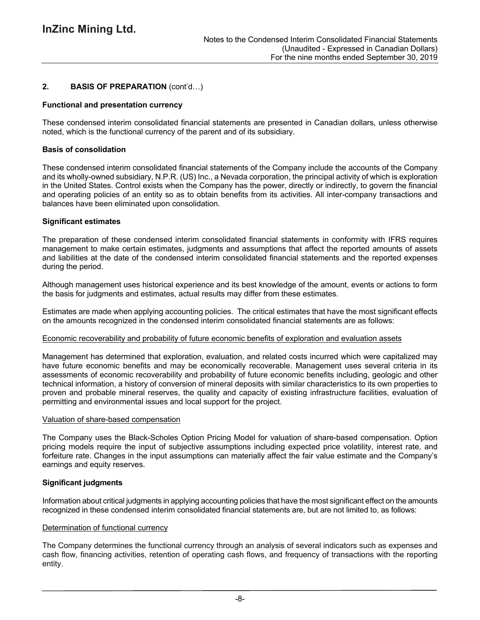# **2. BASIS OF PREPARATION** (cont'd…)

### **Functional and presentation currency**

These condensed interim consolidated financial statements are presented in Canadian dollars, unless otherwise noted, which is the functional currency of the parent and of its subsidiary.

### **Basis of consolidation**

These condensed interim consolidated financial statements of the Company include the accounts of the Company and its wholly-owned subsidiary, N.P.R. (US) Inc., a Nevada corporation, the principal activity of which is exploration in the United States. Control exists when the Company has the power, directly or indirectly, to govern the financial and operating policies of an entity so as to obtain benefits from its activities. All inter-company transactions and balances have been eliminated upon consolidation.

### **Significant estimates**

The preparation of these condensed interim consolidated financial statements in conformity with IFRS requires management to make certain estimates, judgments and assumptions that affect the reported amounts of assets and liabilities at the date of the condensed interim consolidated financial statements and the reported expenses during the period.

Although management uses historical experience and its best knowledge of the amount, events or actions to form the basis for judgments and estimates, actual results may differ from these estimates.

Estimates are made when applying accounting policies. The critical estimates that have the most significant effects on the amounts recognized in the condensed interim consolidated financial statements are as follows:

### Economic recoverability and probability of future economic benefits of exploration and evaluation assets

Management has determined that exploration, evaluation, and related costs incurred which were capitalized may have future economic benefits and may be economically recoverable. Management uses several criteria in its assessments of economic recoverability and probability of future economic benefits including, geologic and other technical information, a history of conversion of mineral deposits with similar characteristics to its own properties to proven and probable mineral reserves, the quality and capacity of existing infrastructure facilities, evaluation of permitting and environmental issues and local support for the project.

### Valuation of share-based compensation

The Company uses the Black-Scholes Option Pricing Model for valuation of share-based compensation. Option pricing models require the input of subjective assumptions including expected price volatility, interest rate, and forfeiture rate. Changes in the input assumptions can materially affect the fair value estimate and the Company's earnings and equity reserves.

### **Significant judgments**

Information about critical judgments in applying accounting policies that have the most significant effect on the amounts recognized in these condensed interim consolidated financial statements are, but are not limited to, as follows:

# Determination of functional currency

The Company determines the functional currency through an analysis of several indicators such as expenses and cash flow, financing activities, retention of operating cash flows, and frequency of transactions with the reporting entity.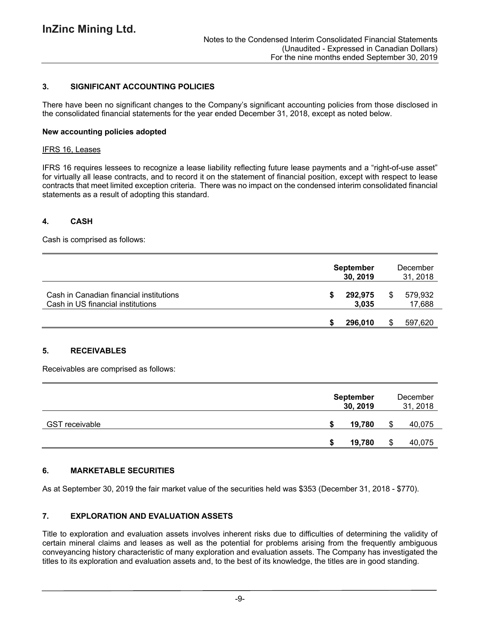# **3. SIGNIFICANT ACCOUNTING POLICIES**

There have been no significant changes to the Company's significant accounting policies from those disclosed in the consolidated financial statements for the year ended December 31, 2018, except as noted below.

### **New accounting policies adopted**

#### IFRS 16, Leases

IFRS 16 requires lessees to recognize a lease liability reflecting future lease payments and a "right-of-use asset" for virtually all lease contracts, and to record it on the statement of financial position, except with respect to lease contracts that meet limited exception criteria. There was no impact on the condensed interim consolidated financial statements as a result of adopting this standard.

### **4. CASH**

Cash is comprised as follows:

|                                                                              | <b>September</b><br>30, 2019 |   | December<br>31, 2018 |  |  |
|------------------------------------------------------------------------------|------------------------------|---|----------------------|--|--|
| Cash in Canadian financial institutions<br>Cash in US financial institutions | 292,975<br>3.035             | S | 579,932<br>17,688    |  |  |
|                                                                              | 296,010                      |   | 597,620              |  |  |

# **5. RECEIVABLES**

Receivables are comprised as follows:

|                       | <b>September</b><br>30, 2019 | December<br>31, 2018 |        |  |
|-----------------------|------------------------------|----------------------|--------|--|
| <b>GST</b> receivable | 19,780                       | S                    | 40,075 |  |
|                       | 19,780                       | S                    | 40,075 |  |

# **6. MARKETABLE SECURITIES**

As at September 30, 2019 the fair market value of the securities held was \$353 (December 31, 2018 - \$770).

# **7. EXPLORATION AND EVALUATION ASSETS**

Title to exploration and evaluation assets involves inherent risks due to difficulties of determining the validity of certain mineral claims and leases as well as the potential for problems arising from the frequently ambiguous conveyancing history characteristic of many exploration and evaluation assets. The Company has investigated the titles to its exploration and evaluation assets and, to the best of its knowledge, the titles are in good standing.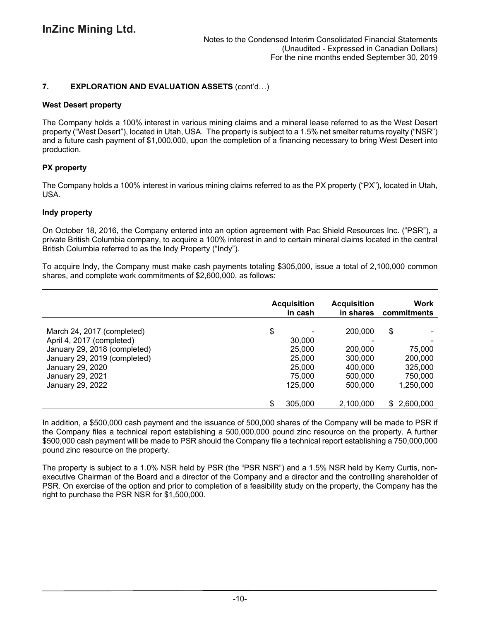# **7. EXPLORATION AND EVALUATION ASSETS** (cont'd…)

### **West Desert property**

The Company holds a 100% interest in various mining claims and a mineral lease referred to as the West Desert property ("West Desert"), located in Utah, USA. The property is subject to a 1.5% net smelter returns royalty ("NSR") and a future cash payment of \$1,000,000, upon the completion of a financing necessary to bring West Desert into production.

# **PX property**

The Company holds a 100% interest in various mining claims referred to as the PX property ("PX"), located in Utah, USA.

### **Indy property**

On October 18, 2016, the Company entered into an option agreement with Pac Shield Resources Inc. ("PSR"), a private British Columbia company, to acquire a 100% interest in and to certain mineral claims located in the central British Columbia referred to as the Indy Property ("Indy").

To acquire Indy, the Company must make cash payments totaling \$305,000, issue a total of 2,100,000 common shares, and complete work commitments of \$2,600,000, as follows:

|                              | <b>Acquisition</b><br>in cash | <b>Acquisition</b><br>in shares | Work<br>commitments |
|------------------------------|-------------------------------|---------------------------------|---------------------|
| March 24, 2017 (completed)   | \$                            | 200,000                         | \$                  |
| April 4, 2017 (completed)    | 30,000                        |                                 |                     |
| January 29, 2018 (completed) | 25,000                        | 200,000                         | 75,000              |
| January 29, 2019 (completed) | 25,000                        | 300,000                         | 200,000             |
| January 29, 2020             | 25,000                        | 400,000                         | 325,000             |
| January 29, 2021             | 75,000                        | 500,000                         | 750,000             |
| January 29, 2022             | 125,000                       | 500,000                         | 1,250,000           |
|                              | \$<br>305,000                 | 2,100,000                       | \$2,600,000         |

In addition, a \$500,000 cash payment and the issuance of 500,000 shares of the Company will be made to PSR if the Company files a technical report establishing a 500,000,000 pound zinc resource on the property. A further \$500,000 cash payment will be made to PSR should the Company file a technical report establishing a 750,000,000 pound zinc resource on the property.

The property is subject to a 1.0% NSR held by PSR (the "PSR NSR") and a 1.5% NSR held by Kerry Curtis, nonexecutive Chairman of the Board and a director of the Company and a director and the controlling shareholder of PSR. On exercise of the option and prior to completion of a feasibility study on the property, the Company has the right to purchase the PSR NSR for \$1,500,000.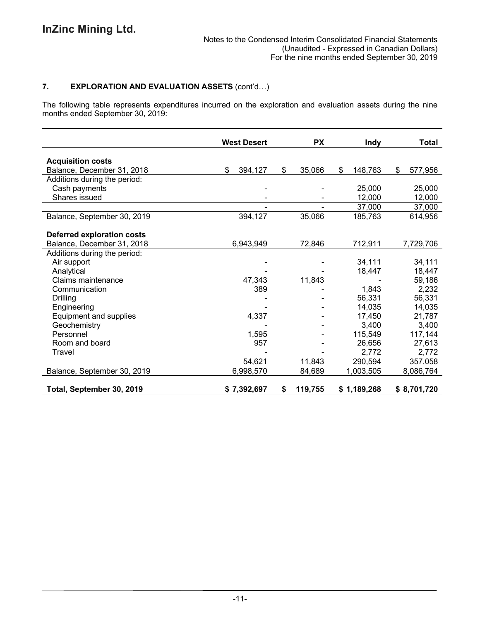# **7. EXPLORATION AND EVALUATION ASSETS** (cont'd…)

The following table represents expenditures incurred on the exploration and evaluation assets during the nine months ended September 30, 2019:

|                                   | <b>West Desert</b> | <b>PX</b>     | <b>Indy</b> | <b>Total</b> |
|-----------------------------------|--------------------|---------------|-------------|--------------|
|                                   |                    |               |             |              |
| <b>Acquisition costs</b>          | \$                 | \$            | \$          | \$           |
| Balance, December 31, 2018        | 394,127            | 35,066        | 148,763     | 577,956      |
| Additions during the period:      |                    |               |             |              |
| Cash payments                     |                    |               | 25,000      | 25,000       |
| Shares issued                     |                    |               | 12,000      | 12,000       |
|                                   |                    |               | 37,000      | 37,000       |
| Balance, September 30, 2019       | 394,127            | 35,066        | 185,763     | 614,956      |
|                                   |                    |               |             |              |
| <b>Deferred exploration costs</b> |                    |               |             |              |
| Balance, December 31, 2018        | 6,943,949          | 72,846        | 712,911     | 7,729,706    |
| Additions during the period:      |                    |               |             |              |
| Air support                       |                    |               | 34,111      | 34,111       |
| Analytical                        |                    |               | 18,447      | 18,447       |
| Claims maintenance                | 47,343             | 11,843        |             | 59,186       |
| Communication                     | 389                |               | 1,843       | 2,232        |
| <b>Drilling</b>                   |                    |               | 56,331      | 56,331       |
| Engineering                       |                    |               | 14,035      | 14,035       |
| Equipment and supplies            | 4,337              |               | 17,450      | 21,787       |
| Geochemistry                      |                    |               | 3,400       | 3,400        |
| Personnel                         | 1,595              |               | 115,549     | 117,144      |
| Room and board                    | 957                |               | 26,656      | 27,613       |
| Travel                            |                    |               | 2,772       | 2,772        |
|                                   | 54,621             | 11,843        | 290,594     | 357,058      |
| Balance, September 30, 2019       | 6,998,570          | 84,689        | 1,003,505   | 8,086,764    |
|                                   |                    |               |             |              |
| Total, September 30, 2019         | \$7,392,697        | 119,755<br>\$ | \$1,189,268 | \$8,701,720  |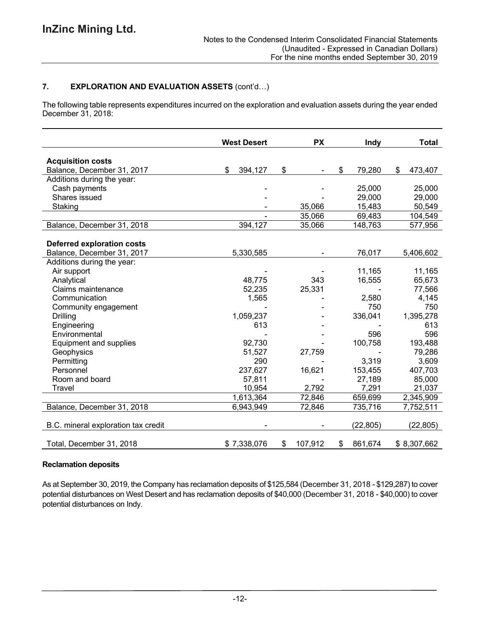# **7. EXPLORATION AND EVALUATION ASSETS** (cont'd…)

The following table represents expenditures incurred on the exploration and evaluation assets during the year ended December 31, 2018:

|                                     | <b>West Desert</b> |    | <b>PX</b> |              | Indy      | <b>Total</b> |             |
|-------------------------------------|--------------------|----|-----------|--------------|-----------|--------------|-------------|
| <b>Acquisition costs</b>            |                    |    |           |              |           |              |             |
| Balance, December 31, 2017          | \$<br>394,127      | \$ |           | $\mathbb{S}$ | 79,280    | \$           | 473,407     |
| Additions during the year:          |                    |    |           |              |           |              |             |
| Cash payments                       |                    |    |           |              | 25,000    |              | 25,000      |
| Shares issued                       |                    |    |           |              | 29,000    |              | 29,000      |
| Staking                             |                    |    | 35,066    |              | 15,483    |              | 50,549      |
|                                     |                    |    | 35,066    |              | 69,483    |              | 104,549     |
| Balance, December 31, 2018          | 394,127            |    | 35,066    |              | 148,763   |              | 577,956     |
|                                     |                    |    |           |              |           |              |             |
| <b>Deferred exploration costs</b>   |                    |    |           |              |           |              |             |
| Balance, December 31, 2017          | 5,330,585          |    |           |              | 76,017    |              | 5,406,602   |
| Additions during the year:          |                    |    |           |              |           |              |             |
| Air support                         |                    |    |           |              | 11,165    |              | 11,165      |
| Analytical                          | 48,775             |    | 343       |              | 16,555    |              | 65,673      |
| Claims maintenance                  | 52,235             |    | 25,331    |              |           |              | 77,566      |
| Communication                       | 1,565              |    |           |              | 2,580     |              | 4,145       |
| Community engagement                |                    |    |           |              | 750       |              | 750         |
| Drilling                            | 1,059,237          |    |           |              | 336,041   |              | 1,395,278   |
| Engineering                         | 613                |    |           |              |           |              | 613         |
| Environmental                       |                    |    |           |              | 596       |              | 596         |
| Equipment and supplies              | 92,730             |    |           |              | 100,758   |              | 193,488     |
| Geophysics                          | 51,527             |    | 27,759    |              |           |              | 79,286      |
| Permitting                          | 290                |    |           |              | 3,319     |              | 3,609       |
| Personnel                           | 237,627            |    | 16,621    |              | 153,455   |              | 407,703     |
| Room and board                      | 57,811             |    |           |              | 27,189    |              | 85,000      |
| Travel                              | 10,954             |    | 2,792     |              | 7,291     |              | 21,037      |
|                                     | 1,613,364          |    | 72,846    |              | 659,699   |              | 2,345,909   |
| Balance, December 31, 2018          | 6,943,949          |    | 72,846    |              | 735,716   |              | 7,752,511   |
| B.C. mineral exploration tax credit |                    |    |           |              | (22, 805) |              | (22, 805)   |
| Total, December 31, 2018            | \$7,338,076        | \$ | 107,912   | \$           | 861,674   |              | \$8,307,662 |

# **Reclamation deposits**

As at September 30, 2019, the Company has reclamation deposits of \$125,584 (December 31, 2018 - \$129,287) to cover potential disturbances on West Desert and has reclamation deposits of \$40,000 (December 31, 2018 - \$40,000) to cover potential disturbances on Indy.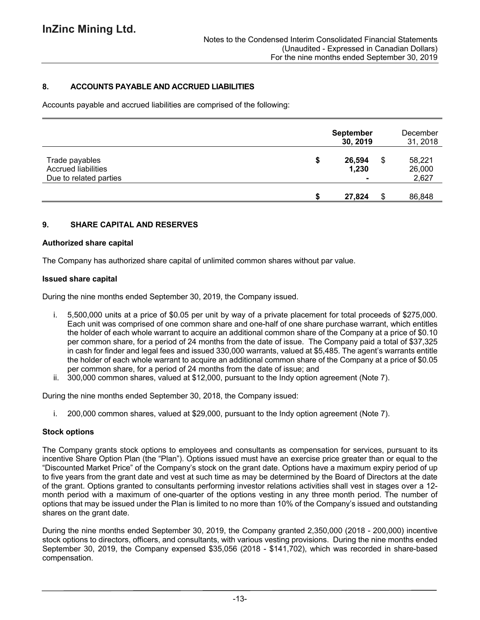# **8. ACCOUNTS PAYABLE AND ACCRUED LIABILITIES**

Accounts payable and accrued liabilities are comprised of the following:

|                                                                        | <b>September</b><br>30, 2019 | December<br>31, 2018            |
|------------------------------------------------------------------------|------------------------------|---------------------------------|
| Trade payables<br><b>Accrued liabilities</b><br>Due to related parties | \$<br>26,594<br>1,230        | \$<br>58,221<br>26,000<br>2,627 |
|                                                                        | 27,824                       | 86,848                          |

### **9. SHARE CAPITAL AND RESERVES**

### **Authorized share capital**

The Company has authorized share capital of unlimited common shares without par value.

### **Issued share capital**

During the nine months ended September 30, 2019, the Company issued.

- i. 5,500,000 units at a price of \$0.05 per unit by way of a private placement for total proceeds of \$275,000. Each unit was comprised of one common share and one-half of one share purchase warrant, which entitles the holder of each whole warrant to acquire an additional common share of the Company at a price of \$0.10 per common share, for a period of 24 months from the date of issue. The Company paid a total of \$37,325 in cash for finder and legal fees and issued 330,000 warrants, valued at \$5,485. The agent's warrants entitle the holder of each whole warrant to acquire an additional common share of the Company at a price of \$0.05 per common share, for a period of 24 months from the date of issue; and
- ii. 300,000 common shares, valued at \$12,000, pursuant to the Indy option agreement (Note 7).

During the nine months ended September 30, 2018, the Company issued:

i. 200,000 common shares, valued at \$29,000, pursuant to the Indy option agreement (Note 7).

### **Stock options**

The Company grants stock options to employees and consultants as compensation for services, pursuant to its incentive Share Option Plan (the "Plan"). Options issued must have an exercise price greater than or equal to the "Discounted Market Price" of the Company's stock on the grant date. Options have a maximum expiry period of up to five years from the grant date and vest at such time as may be determined by the Board of Directors at the date of the grant. Options granted to consultants performing investor relations activities shall vest in stages over a 12 month period with a maximum of one-quarter of the options vesting in any three month period. The number of options that may be issued under the Plan is limited to no more than 10% of the Company's issued and outstanding shares on the grant date.

During the nine months ended September 30, 2019, the Company granted 2,350,000 (2018 - 200,000) incentive stock options to directors, officers, and consultants, with various vesting provisions. During the nine months ended September 30, 2019, the Company expensed \$35,056 (2018 - \$141,702), which was recorded in share-based compensation.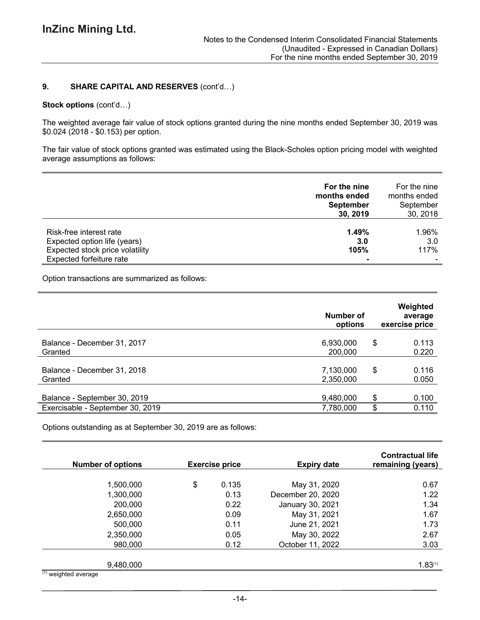### **9. SHARE CAPITAL AND RESERVES** (cont'd…)

#### **Stock options** (cont'd…)

The weighted average fair value of stock options granted during the nine months ended September 30, 2019 was \$0.024 (2018 - \$0.153) per option.

The fair value of stock options granted was estimated using the Black-Scholes option pricing model with weighted average assumptions as follows:

|                                                                                                                        | For the nine<br>months ended<br><b>September</b><br>30, 2019 | For the nine<br>months ended<br>September<br>30, 2018 |
|------------------------------------------------------------------------------------------------------------------------|--------------------------------------------------------------|-------------------------------------------------------|
| Risk-free interest rate<br>Expected option life (years)<br>Expected stock price volatility<br>Expected forfeiture rate | 1.49%<br>3.0<br>105%                                         | 1.96%<br>3.0<br>117%                                  |

Option transactions are summarized as follows:

|                                  | Number of<br>options | Weighted<br>average<br>exercise price |
|----------------------------------|----------------------|---------------------------------------|
| Balance - December 31, 2017      | 6,930,000            | \$<br>0.113                           |
| Granted                          | 200,000              | 0.220                                 |
| Balance - December 31, 2018      | 7,130,000            | \$<br>0.116                           |
| Granted                          | 2,350,000            | 0.050                                 |
| Balance - September 30, 2019     | 9,480,000            | \$<br>0.100                           |
| Exercisable - September 30, 2019 | 7,780,000            | \$<br>0.110                           |

Options outstanding as at September 30, 2019 are as follows:

| <b>Number of options</b>             | <b>Exercise price</b> | <b>Expiry date</b> | <b>Contractual life</b><br>remaining (years) |
|--------------------------------------|-----------------------|--------------------|----------------------------------------------|
|                                      |                       |                    |                                              |
| 1,500,000                            | \$<br>0.135           | May 31, 2020       | 0.67                                         |
| 1,300,000                            | 0.13                  | December 20, 2020  | 1.22                                         |
| 200,000                              | 0.22                  | January 30, 2021   | 1.34                                         |
| 2,650,000                            | 0.09                  | May 31, 2021       | 1.67                                         |
| 500,000                              | 0.11                  | June 21, 2021      | 1.73                                         |
| 2,350,000                            | 0.05                  | May 30, 2022       | 2.67                                         |
| 980,000                              | 0.12                  | October 11, 2022   | 3.03                                         |
| 9,480,000                            |                       |                    | 1.83(1)                                      |
| $\overline{^{(1)}}$ weighted average |                       |                    |                                              |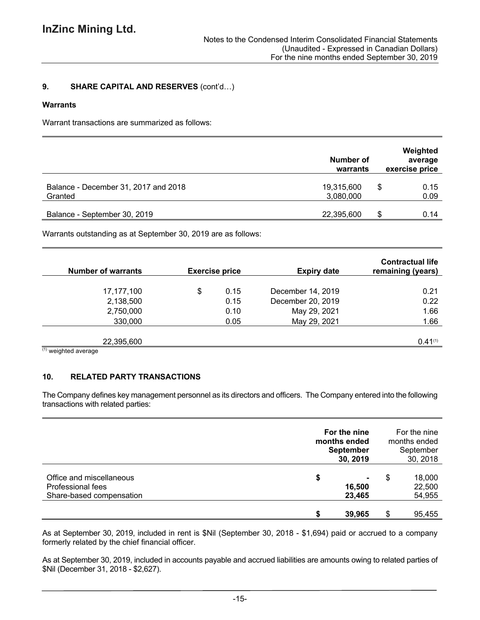# **9. SHARE CAPITAL AND RESERVES** (cont'd…)

### **Warrants**

Warrant transactions are summarized as follows:

|                                                 | Number of<br>warrants   |   | Weighted<br>average<br>exercise price |  |
|-------------------------------------------------|-------------------------|---|---------------------------------------|--|
| Balance - December 31, 2017 and 2018<br>Granted | 19,315,600<br>3,080,000 | S | 0.15<br>0.09                          |  |
| Balance - September 30, 2019                    | 22,395,600              |   | 0.14                                  |  |

Warrants outstanding as at September 30, 2019 are as follows:

| <b>Number of warrants</b> | <b>Exercise price</b> | <b>Expiry date</b> | <b>Contractual life</b><br>remaining (years) |
|---------------------------|-----------------------|--------------------|----------------------------------------------|
|                           |                       |                    |                                              |
| 17,177,100                | \$<br>0.15            | December 14, 2019  | 0.21                                         |
| 2,138,500                 | 0.15                  | December 20, 2019  | 0.22                                         |
| 2,750,000                 | 0.10                  | May 29, 2021       | 1.66                                         |
| 330,000                   | 0.05                  | May 29, 2021       | 1.66                                         |
|                           |                       |                    |                                              |
| 22,395,600                |                       |                    | 0.41(1)                                      |
| $(1)$ usighted overage    |                       |                    |                                              |

(1) weighted average

# **10. RELATED PARTY TRANSACTIONS**

The Company defines key management personnel as its directors and officers. The Company entered into the following transactions with related parties:

|                                                                           | For the nine<br>months ended<br><b>September</b><br>30, 2019 |   | For the nine<br>months ended<br>September<br>30, 2018 |  |
|---------------------------------------------------------------------------|--------------------------------------------------------------|---|-------------------------------------------------------|--|
| Office and miscellaneous<br>Professional fees<br>Share-based compensation | \$<br>16,500<br>23,465                                       | S | 18,000<br>22,500<br>54,955                            |  |
|                                                                           | 39,965                                                       |   | 95,455                                                |  |

As at September 30, 2019, included in rent is \$Nil (September 30, 2018 - \$1,694) paid or accrued to a company formerly related by the chief financial officer.

As at September 30, 2019, included in accounts payable and accrued liabilities are amounts owing to related parties of \$Nil (December 31, 2018 - \$2,627).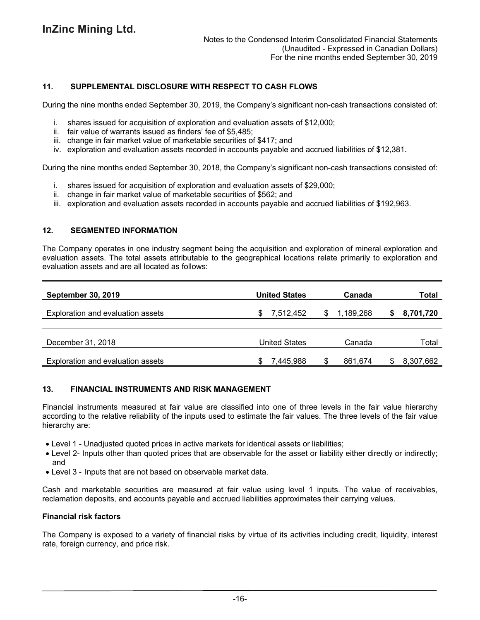# **11. SUPPLEMENTAL DISCLOSURE WITH RESPECT TO CASH FLOWS**

During the nine months ended September 30, 2019, the Company's significant non-cash transactions consisted of:

- i. shares issued for acquisition of exploration and evaluation assets of \$12,000;
- ii. fair value of warrants issued as finders' fee of \$5,485;
- iii. change in fair market value of marketable securities of \$417; and
- iv. exploration and evaluation assets recorded in accounts payable and accrued liabilities of \$12,381.

During the nine months ended September 30, 2018, the Company's significant non-cash transactions consisted of:

- i. shares issued for acquisition of exploration and evaluation assets of \$29,000;
- ii. change in fair market value of marketable securities of \$562; and
- iii. exploration and evaluation assets recorded in accounts payable and accrued liabilities of \$192,963.

### **12. SEGMENTED INFORMATION**

The Company operates in one industry segment being the acquisition and exploration of mineral exploration and evaluation assets. The total assets attributable to the geographical locations relate primarily to exploration and evaluation assets and are all located as follows:

| <b>September 30, 2019</b>                | <b>United States</b> | Canada    | Total     |
|------------------------------------------|----------------------|-----------|-----------|
| <b>Exploration and evaluation assets</b> | 7,512,452            | 1,189,268 | 8,701,720 |
|                                          |                      |           |           |
| December 31, 2018                        | United States        | Canada    | Total     |
| Exploration and evaluation assets        | 7,445,988            | 861,674   | 8,307,662 |

# **13. FINANCIAL INSTRUMENTS AND RISK MANAGEMENT**

Financial instruments measured at fair value are classified into one of three levels in the fair value hierarchy according to the relative reliability of the inputs used to estimate the fair values. The three levels of the fair value hierarchy are:

- Level 1 Unadjusted quoted prices in active markets for identical assets or liabilities;
- Level 2- Inputs other than quoted prices that are observable for the asset or liability either directly or indirectly; and
- Level 3 Inputs that are not based on observable market data.

Cash and marketable securities are measured at fair value using level 1 inputs. The value of receivables, reclamation deposits, and accounts payable and accrued liabilities approximates their carrying values.

### **Financial risk factors**

The Company is exposed to a variety of financial risks by virtue of its activities including credit, liquidity, interest rate, foreign currency, and price risk.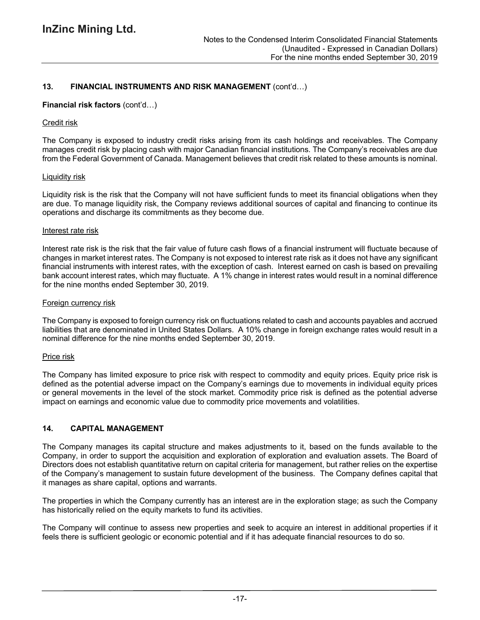# **13. FINANCIAL INSTRUMENTS AND RISK MANAGEMENT** (cont'd…)

### **Financial risk factors** (cont'd…)

### Credit risk

The Company is exposed to industry credit risks arising from its cash holdings and receivables. The Company manages credit risk by placing cash with major Canadian financial institutions. The Company's receivables are due from the Federal Government of Canada. Management believes that credit risk related to these amounts is nominal.

### Liquidity risk

Liquidity risk is the risk that the Company will not have sufficient funds to meet its financial obligations when they are due. To manage liquidity risk, the Company reviews additional sources of capital and financing to continue its operations and discharge its commitments as they become due.

### Interest rate risk

Interest rate risk is the risk that the fair value of future cash flows of a financial instrument will fluctuate because of changes in market interest rates. The Company is not exposed to interest rate risk as it does not have any significant financial instruments with interest rates, with the exception of cash. Interest earned on cash is based on prevailing bank account interest rates, which may fluctuate. A 1% change in interest rates would result in a nominal difference for the nine months ended September 30, 2019.

### Foreign currency risk

The Company is exposed to foreign currency risk on fluctuations related to cash and accounts payables and accrued liabilities that are denominated in United States Dollars. A 10% change in foreign exchange rates would result in a nominal difference for the nine months ended September 30, 2019.

### Price risk

The Company has limited exposure to price risk with respect to commodity and equity prices. Equity price risk is defined as the potential adverse impact on the Company's earnings due to movements in individual equity prices or general movements in the level of the stock market. Commodity price risk is defined as the potential adverse impact on earnings and economic value due to commodity price movements and volatilities.

### **14. CAPITAL MANAGEMENT**

The Company manages its capital structure and makes adjustments to it, based on the funds available to the Company, in order to support the acquisition and exploration of exploration and evaluation assets. The Board of Directors does not establish quantitative return on capital criteria for management, but rather relies on the expertise of the Company's management to sustain future development of the business. The Company defines capital that it manages as share capital, options and warrants.

The properties in which the Company currently has an interest are in the exploration stage; as such the Company has historically relied on the equity markets to fund its activities.

The Company will continue to assess new properties and seek to acquire an interest in additional properties if it feels there is sufficient geologic or economic potential and if it has adequate financial resources to do so.